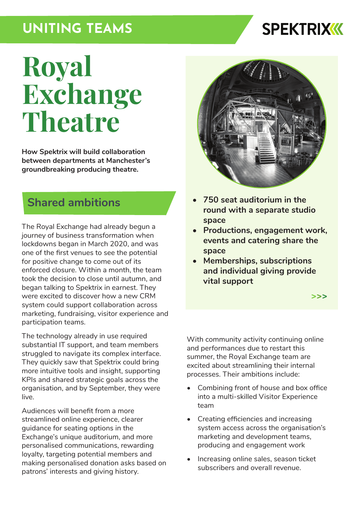## **UNITING TEAMS**

## **SPEKTRIXKK**

# **Royal Exchange Theatre**

**How Spektrix will build collaboration between departments at Manchester's groundbreaking producing theatre.**

#### **Shared ambitions**

The Royal Exchange had already begun a journey of business transformation when lockdowns began in March 2020, and was one of the first venues to see the potential for positive change to come out of its enforced closure. Within a month, the team took the decision to close until autumn, and began talking to Spektrix in earnest. They were excited to discover how a new CRM system could support collaboration across marketing, fundraising, visitor experience and participation teams.

The technology already in use required substantial IT support, and team members struggled to navigate its complex interface. They quickly saw that Spektrix could bring more intuitive tools and insight, supporting KPIs and shared strategic goals across the organisation, and by September, they were live.

Audiences will benefit from a more streamlined online experience, clearer guidance for seating options in the Exchange's unique auditorium, and more personalised communications, rewarding loyalty, targeting potential members and making personalised donation asks based on patrons' interests and giving history.



- **• 750 seat auditorium in the round with a separate studio space**
- **• Productions, engagement work, events and catering share the space**
- **• Memberships, subscriptions and individual giving provide vital support**

**[>>>](https://www.royalexchange.co.uk/)**

With community activity continuing online and performances due to restart this summer, the Royal Exchange team are excited about streamlining their internal processes. Their ambitions include:

- Combining front of house and box office into a multi-skilled Visitor Experience team
- Creating efficiencies and increasing system access across the organisation's marketing and development teams, producing and engagement work
- Increasing online sales, season ticket subscribers and overall revenue.